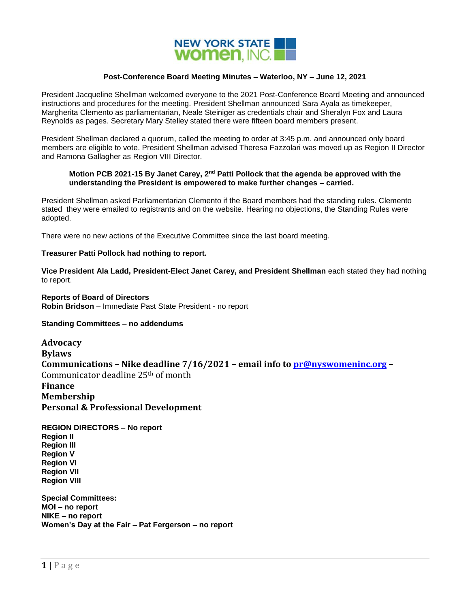

## **Post-Conference Board Meeting Minutes – Waterloo, NY – June 12, 2021**

President Jacqueline Shellman welcomed everyone to the 2021 Post-Conference Board Meeting and announced instructions and procedures for the meeting. President Shellman announced Sara Ayala as timekeeper, Margherita Clemento as parliamentarian, Neale Steiniger as credentials chair and Sheralyn Fox and Laura Reynolds as pages. Secretary Mary Stelley stated there were fifteen board members present.

President Shellman declared a quorum, called the meeting to order at 3:45 p.m. and announced only board members are eligible to vote. President Shellman advised Theresa Fazzolari was moved up as Region II Director and Ramona Gallagher as Region VIII Director.

## **Motion PCB 2021-15 By Janet Carey, 2nd Patti Pollock that the agenda be approved with the understanding the President is empowered to make further changes – carried.**

President Shellman asked Parliamentarian Clemento if the Board members had the standing rules. Clemento stated they were emailed to registrants and on the website. Hearing no objections, the Standing Rules were adopted.

There were no new actions of the Executive Committee since the last board meeting.

## **Treasurer Patti Pollock had nothing to report.**

**Vice President Ala Ladd, President-Elect Janet Carey, and President Shellman** each stated they had nothing to report.

**Reports of Board of Directors Robin Bridson** – Immediate Past State President - no report

**Standing Committees – no addendums**

**Advocacy Bylaws Communications – Nike deadline 7/16/2021 – email info to [pr@nyswomeninc.org](mailto:pr@nyswomeninc.org) –** Communicator deadline 25th of month **Finance Membership Personal & Professional Development**

**REGION DIRECTORS – No report Region II Region III Region V Region VI Region VII Region VIII**

**Special Committees: MOI – no report NIKE – no report Women's Day at the Fair – Pat Fergerson – no report**